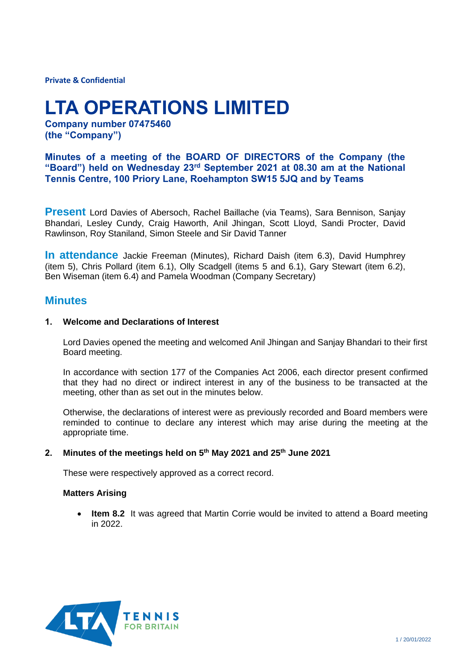**Private & Confidential**

# **LTA OPERATIONS LIMITED**

**Company number 07475460 (the "Company")**

**Minutes of a meeting of the BOARD OF DIRECTORS of the Company (the "Board") held on Wednesday 23rd September 2021 at 08.30 am at the National Tennis Centre, 100 Priory Lane, Roehampton SW15 5JQ and by Teams**

**Present** Lord Davies of Abersoch, Rachel Baillache (via Teams), Sara Bennison, Sanjay Bhandari, Lesley Cundy, Craig Haworth, Anil Jhingan, Scott Lloyd, Sandi Procter, David Rawlinson, Roy Staniland, Simon Steele and Sir David Tanner

**In attendance** Jackie Freeman (Minutes), Richard Daish (item 6.3), David Humphrey (item 5), Chris Pollard (item 6.1), Olly Scadgell (items 5 and 6.1), Gary Stewart (item 6.2), Ben Wiseman (item 6.4) and Pamela Woodman (Company Secretary)

# **Minutes**

## **1. Welcome and Declarations of Interest**

Lord Davies opened the meeting and welcomed Anil Jhingan and Sanjay Bhandari to their first Board meeting.

In accordance with section 177 of the Companies Act 2006, each director present confirmed that they had no direct or indirect interest in any of the business to be transacted at the meeting, other than as set out in the minutes below.

Otherwise, the declarations of interest were as previously recorded and Board members were reminded to continue to declare any interest which may arise during the meeting at the appropriate time.

#### **2. Minutes of the meetings held on 5th May 2021 and 25th June 2021**

These were respectively approved as a correct record.

#### **Matters Arising**

• **Item 8.2** It was agreed that Martin Corrie would be invited to attend a Board meeting in 2022.

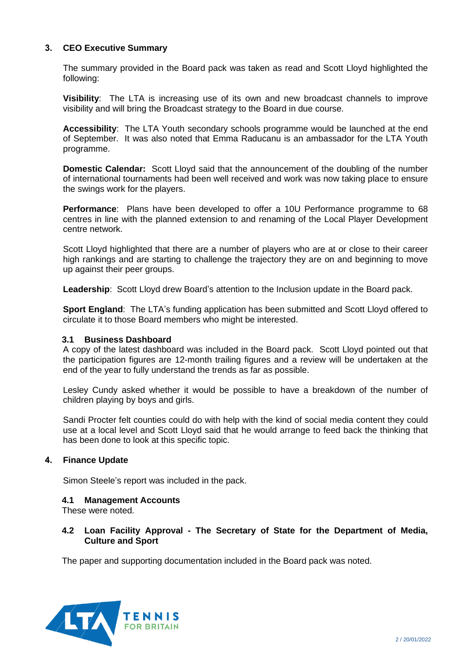## **3. CEO Executive Summary**

The summary provided in the Board pack was taken as read and Scott Lloyd highlighted the following:

**Visibility**: The LTA is increasing use of its own and new broadcast channels to improve visibility and will bring the Broadcast strategy to the Board in due course.

**Accessibility**: The LTA Youth secondary schools programme would be launched at the end of September. It was also noted that Emma Raducanu is an ambassador for the LTA Youth programme.

**Domestic Calendar:** Scott Lloyd said that the announcement of the doubling of the number of international tournaments had been well received and work was now taking place to ensure the swings work for the players.

**Performance**: Plans have been developed to offer a 10U Performance programme to 68 centres in line with the planned extension to and renaming of the Local Player Development centre network.

Scott Lloyd highlighted that there are a number of players who are at or close to their career high rankings and are starting to challenge the trajectory they are on and beginning to move up against their peer groups.

**Leadership**: Scott Lloyd drew Board's attention to the Inclusion update in the Board pack.

**Sport England:** The LTA's funding application has been submitted and Scott Lloyd offered to circulate it to those Board members who might be interested.

#### **3.1 Business Dashboard**

A copy of the latest dashboard was included in the Board pack. Scott Lloyd pointed out that the participation figures are 12-month trailing figures and a review will be undertaken at the end of the year to fully understand the trends as far as possible.

Lesley Cundy asked whether it would be possible to have a breakdown of the number of children playing by boys and girls.

Sandi Procter felt counties could do with help with the kind of social media content they could use at a local level and Scott Lloyd said that he would arrange to feed back the thinking that has been done to look at this specific topic.

#### **4. Finance Update**

Simon Steele's report was included in the pack.

#### **4.1 Management Accounts**

These were noted.

## **4.2 Loan Facility Approval - The Secretary of State for the Department of Media, Culture and Sport**

The paper and supporting documentation included in the Board pack was noted.

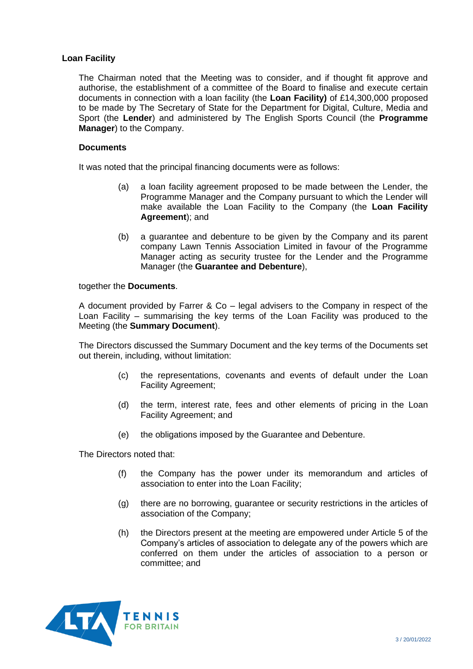## **Loan Facility**

The Chairman noted that the Meeting was to consider, and if thought fit approve and authorise, the establishment of a committee of the Board to finalise and execute certain documents in connection with a loan facility (the **Loan Facility)** of £14,300,000 proposed to be made by The Secretary of State for the Department for Digital, Culture, Media and Sport (the **Lender**) and administered by The English Sports Council (the **Programme Manager**) to the Company.

## **Documents**

It was noted that the principal financing documents were as follows:

- (a) a loan facility agreement proposed to be made between the Lender, the Programme Manager and the Company pursuant to which the Lender will make available the Loan Facility to the Company (the **Loan Facility Agreement**); and
- (b) a guarantee and debenture to be given by the Company and its parent company Lawn Tennis Association Limited in favour of the Programme Manager acting as security trustee for the Lender and the Programme Manager (the **Guarantee and Debenture**),

together the **Documents**.

A document provided by Farrer & Co – legal advisers to the Company in respect of the Loan Facility – summarising the key terms of the Loan Facility was produced to the Meeting (the **Summary Document**).

The Directors discussed the Summary Document and the key terms of the Documents set out therein, including, without limitation:

- (c) the representations, covenants and events of default under the Loan Facility Agreement;
- (d) the term, interest rate, fees and other elements of pricing in the Loan Facility Agreement; and
- (e) the obligations imposed by the Guarantee and Debenture.

The Directors noted that:

- (f) the Company has the power under its memorandum and articles of association to enter into the Loan Facility;
- (g) there are no borrowing, guarantee or security restrictions in the articles of association of the Company;
- (h) the Directors present at the meeting are empowered under Article 5 of the Company's articles of association to delegate any of the powers which are conferred on them under the articles of association to a person or committee; and

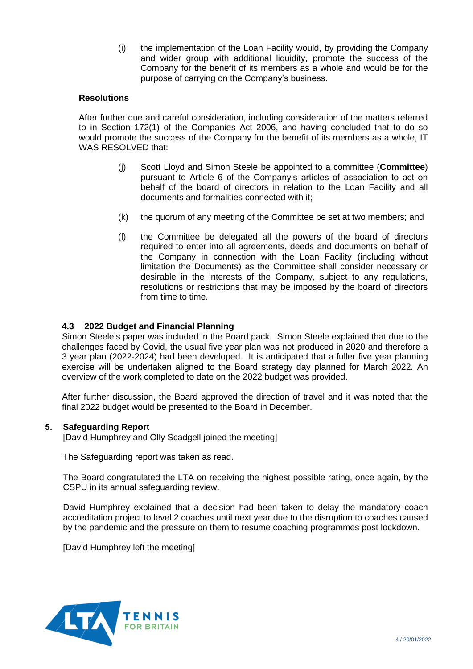(i) the implementation of the Loan Facility would, by providing the Company and wider group with additional liquidity, promote the success of the Company for the benefit of its members as a whole and would be for the purpose of carrying on the Company's business.

## **Resolutions**

After further due and careful consideration, including consideration of the matters referred to in Section 172(1) of the Companies Act 2006, and having concluded that to do so would promote the success of the Company for the benefit of its members as a whole, IT WAS RESOLVED that:

- (j) Scott Lloyd and Simon Steele be appointed to a committee (**Committee**) pursuant to Article 6 of the Company's articles of association to act on behalf of the board of directors in relation to the Loan Facility and all documents and formalities connected with it;
- (k) the quorum of any meeting of the Committee be set at two members; and
- (l) the Committee be delegated all the powers of the board of directors required to enter into all agreements, deeds and documents on behalf of the Company in connection with the Loan Facility (including without limitation the Documents) as the Committee shall consider necessary or desirable in the interests of the Company, subject to any regulations, resolutions or restrictions that may be imposed by the board of directors from time to time.

## **4.3 2022 Budget and Financial Planning**

Simon Steele's paper was included in the Board pack. Simon Steele explained that due to the challenges faced by Covid, the usual five year plan was not produced in 2020 and therefore a 3 year plan (2022-2024) had been developed. It is anticipated that a fuller five year planning exercise will be undertaken aligned to the Board strategy day planned for March 2022. An overview of the work completed to date on the 2022 budget was provided.

After further discussion, the Board approved the direction of travel and it was noted that the final 2022 budget would be presented to the Board in December.

## **5. Safeguarding Report**

[David Humphrey and Olly Scadgell joined the meeting]

The Safeguarding report was taken as read.

The Board congratulated the LTA on receiving the highest possible rating, once again, by the CSPU in its annual safeguarding review.

David Humphrey explained that a decision had been taken to delay the mandatory coach accreditation project to level 2 coaches until next year due to the disruption to coaches caused by the pandemic and the pressure on them to resume coaching programmes post lockdown.

[David Humphrey left the meeting]

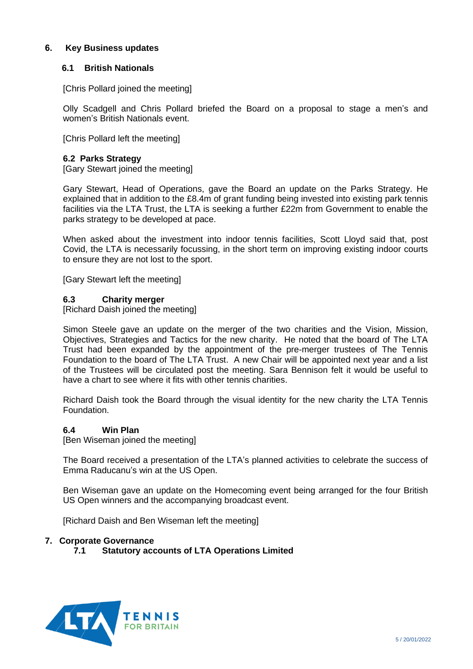## **6. Key Business updates**

## **6.1 British Nationals**

[Chris Pollard joined the meeting]

Olly Scadgell and Chris Pollard briefed the Board on a proposal to stage a men's and women's British Nationals event.

[Chris Pollard left the meeting]

#### **6.2 Parks Strategy**

[Gary Stewart joined the meeting]

Gary Stewart, Head of Operations, gave the Board an update on the Parks Strategy. He explained that in addition to the £8.4m of grant funding being invested into existing park tennis facilities via the LTA Trust, the LTA is seeking a further £22m from Government to enable the parks strategy to be developed at pace.

When asked about the investment into indoor tennis facilities, Scott Lloyd said that, post Covid, the LTA is necessarily focussing, in the short term on improving existing indoor courts to ensure they are not lost to the sport.

[Gary Stewart left the meeting]

## **6.3 Charity merger**

[Richard Daish joined the meeting]

Simon Steele gave an update on the merger of the two charities and the Vision, Mission, Objectives, Strategies and Tactics for the new charity. He noted that the board of The LTA Trust had been expanded by the appointment of the pre-merger trustees of The Tennis Foundation to the board of The LTA Trust. A new Chair will be appointed next year and a list of the Trustees will be circulated post the meeting. Sara Bennison felt it would be useful to have a chart to see where it fits with other tennis charities.

Richard Daish took the Board through the visual identity for the new charity the LTA Tennis Foundation.

#### **6.4 Win Plan**

[Ben Wiseman joined the meeting]

The Board received a presentation of the LTA's planned activities to celebrate the success of Emma Raducanu's win at the US Open.

Ben Wiseman gave an update on the Homecoming event being arranged for the four British US Open winners and the accompanying broadcast event.

[Richard Daish and Ben Wiseman left the meeting]

#### **7. Corporate Governance**

**7.1 Statutory accounts of LTA Operations Limited**